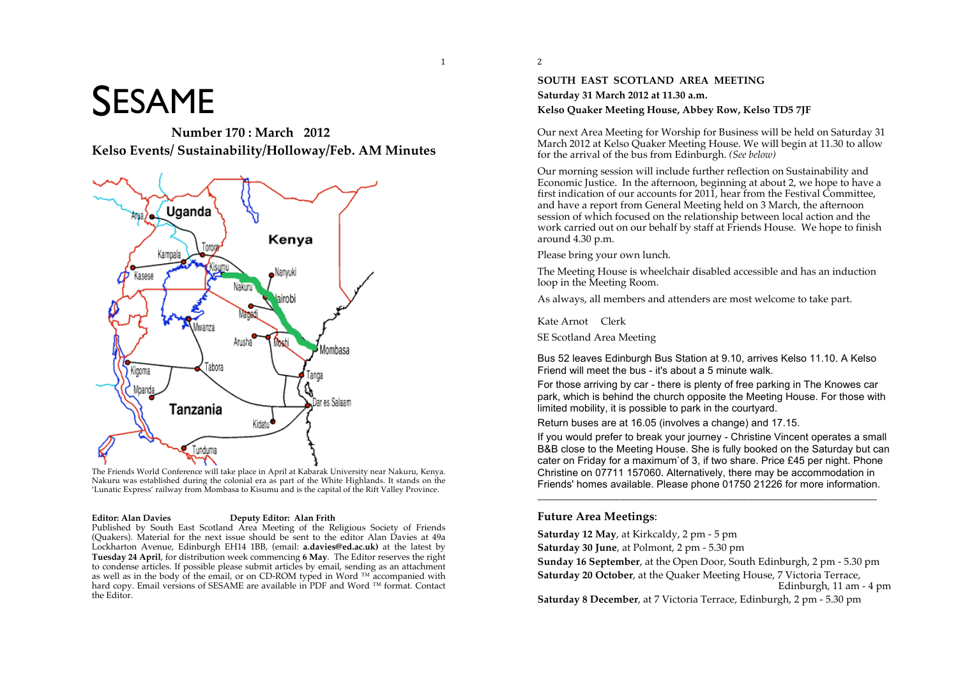# **SESAME**

**Number 170 : March 2012 Kelso Events/ Sustainability/Holloway/Feb. AM Minutes**



The Friends World Conference will take place in April at Kabarak University near Nakuru, Kenya. Nakuru was established during the colonial era as part of the White Highlands. It stands on the 'Lunatic Express' railway from Mombasa to Kisumu and is the capital of the Rift Valley Province.

#### **Editor: Alan Davies Deputy Editor: Alan Frith**

Published by South East Scotland Area Meeting of the Religious Society of Friends (Quakers). Material for the next issue should be sent to the editor Alan Davies at 49a Lockharton Avenue, Edinburgh EH14 1BB, (email: **a.davies@ed.ac.uk)** at the latest by **Tuesday 24 April**, for distribution week commencing **6 May**. The Editor reserves the right to condense articles. If possible please submit articles by email, sending as an attachment as well as in the body of the email, or on CD-ROM typed in Word  $\mathbb{I}^M$  accompanied with hard copy. Email versions of SESAME are available in PDF and Word ™ format. Contact the Editor.

<sup>2</sup>

 $\mathbf{1}$ 

#### **SOUTH EAST SCOTLAND AREA MEETING Saturday 31 March 2012 at 11.30 a.m. Kelso Quaker Meeting House, Abbey Row, Kelso TD5 7JF**

Our next Area Meeting for Worship for Business will be held on Saturday 31 March 2012 at Kelso Quaker Meeting House. We will begin at 11.30 to allow for the arrival of the bus from Edinburgh. *(See below)*

Our morning session will include further reflection on Sustainability and Economic Justice. In the afternoon, beginning at about 2, we hope to have a first indication of our accounts for 2011, hear from the Festival Committee, and have a report from General Meeting held on 3 March, the afternoon session of which focused on the relationship between local action and the work carried out on our behalf by staff at Friends House. We hope to finish around 4.30 p.m.

Please bring your own lunch.

The Meeting House is wheelchair disabled accessible and has an induction loop in the Meeting Room.

As always, all members and attenders are most welcome to take part.

Kate Arnot Clerk

SE Scotland Area Meeting

Bus 52 leaves Edinburgh Bus Station at 9.10, arrives Kelso 11.10. A Kelso Friend will meet the bus - it's about a 5 minute walk.

For those arriving by car - there is plenty of free parking in The Knowes car park, which is behind the church opposite the Meeting House. For those with limited mobility, it is possible to park in the courtyard.

Return buses are at 16.05 (involves a change) and 17.15.

If you would prefer to break your journey - Christine Vincent operates a small B&B close to the Meeting House. She is fully booked on the Saturday but can cater on Friday for a maximum`of 3, if two share. Price £45 per night. Phone Christine on 07711 157060. Alternatively, there may be accommodation in Friends' homes available. Please phone 01750 21226 for more information.

\_\_\_\_\_\_\_\_\_\_\_\_\_\_\_\_\_\_\_\_\_\_\_\_\_\_\_\_\_\_\_\_\_\_\_\_\_\_\_\_\_\_\_\_\_\_\_\_\_\_\_\_\_\_\_\_\_\_\_\_\_\_\_\_\_\_

#### **Future Area Meetings**:

**Saturday 12 May**, at Kirkcaldy, 2 pm - 5 pm

**Saturday 30 June**, at Polmont, 2 pm - 5.30 pm

**Sunday 16 September**, at the Open Door, South Edinburgh, 2 pm - 5.30 pm **Saturday 20 October**, at the Quaker Meeting House, 7 Victoria Terrace, Edinburgh, 11 am - 4 pm

**Saturday 8 December**, at 7 Victoria Terrace, Edinburgh, 2 pm - 5.30 pm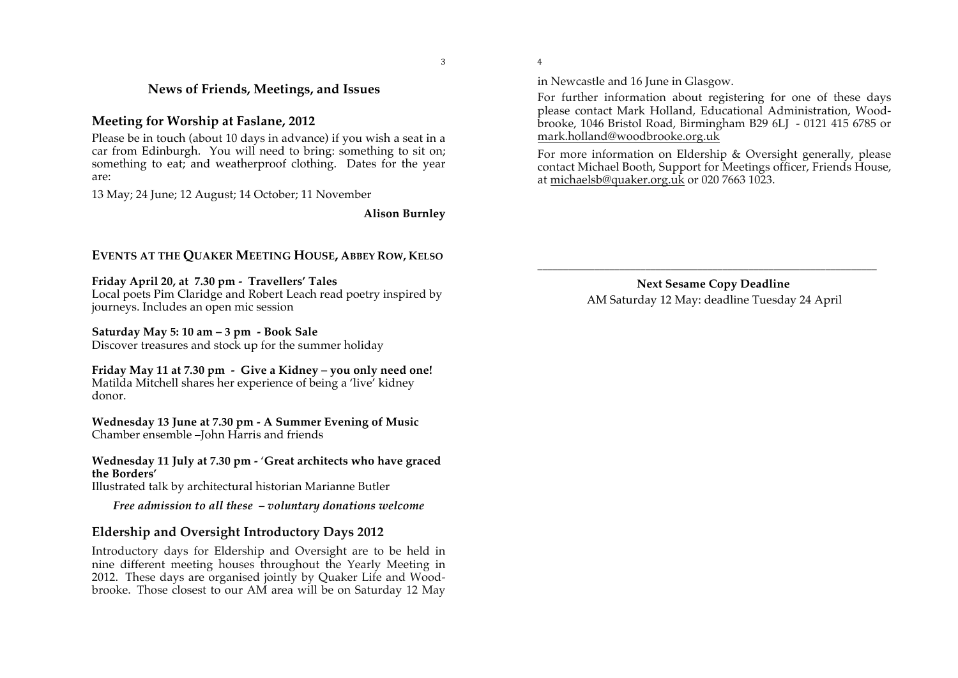\$

%

# **News of Friends, Meetings, and Issues**

#### **Meeting for Worship at Faslane, 2012**

Please be in touch (about 10 days in advance) if you wish a seat in a car from Edinburgh. You will need to bring: something to sit on; something to eat; and weatherproof clothing. Dates for the year are:

13 May; 24 June; 12 August; 14 October; 11 November

**Alison Burnley**

#### **EVENTS AT THE QUAKER MEETING HOUSE, ABBEY ROW, KELSO**

**Friday April 20, at 7.30 pm - Travellers' Tales** 

Local poets Pim Claridge and Robert Leach read poetry inspired by journeys. Includes an open mic session

#### **Saturday May 5: 10 am – 3 pm - Book Sale**

Discover treasures and stock up for the summer holiday

#### **Friday May 11 at 7.30 pm - Give a Kidney – you only need one!**  Matilda Mitchell shares her experience of being a 'live' kidney donor.

**Wednesday 13 June at 7.30 pm - A Summer Evening of Music**  Chamber ensemble –John Harris and friends

#### **Wednesday 11 July at 7.30 pm -** '**Great architects who have graced the Borders'**

Illustrated talk by architectural historian Marianne Butler

*Free admission to all these – voluntary donations welcome*

# **Eldership and Oversight Introductory Days 2012**

Introductory days for Eldership and Oversight are to be held in nine different meeting houses throughout the Yearly Meeting in 2012. These days are organised jointly by Quaker Life and Woodbrooke. Those closest to our AM area will be on Saturday 12 May in Newcastle and 16 June in Glasgow.

For further information about registering for one of these days please contact Mark Holland, Educational Administration, Woodbrooke, 1046 Bristol Road, Birmingham B29 6LJ - 0121 415 6785 or mark.holland@woodbrooke.org.uk

For more information on Eldership & Oversight generally, please contact Michael Booth, Support for Meetings officer, Friends House, at michaelsb@quaker.org.uk or 020 7663 1023.

> **Next Sesame Copy Deadline** AM Saturday 12 May: deadline Tuesday 24 April

\_\_\_\_\_\_\_\_\_\_\_\_\_\_\_\_\_\_\_\_\_\_\_\_\_\_\_\_\_\_\_\_\_\_\_\_\_\_\_\_\_\_\_\_\_\_\_\_\_\_\_\_\_\_\_\_\_\_\_\_\_\_\_\_\_\_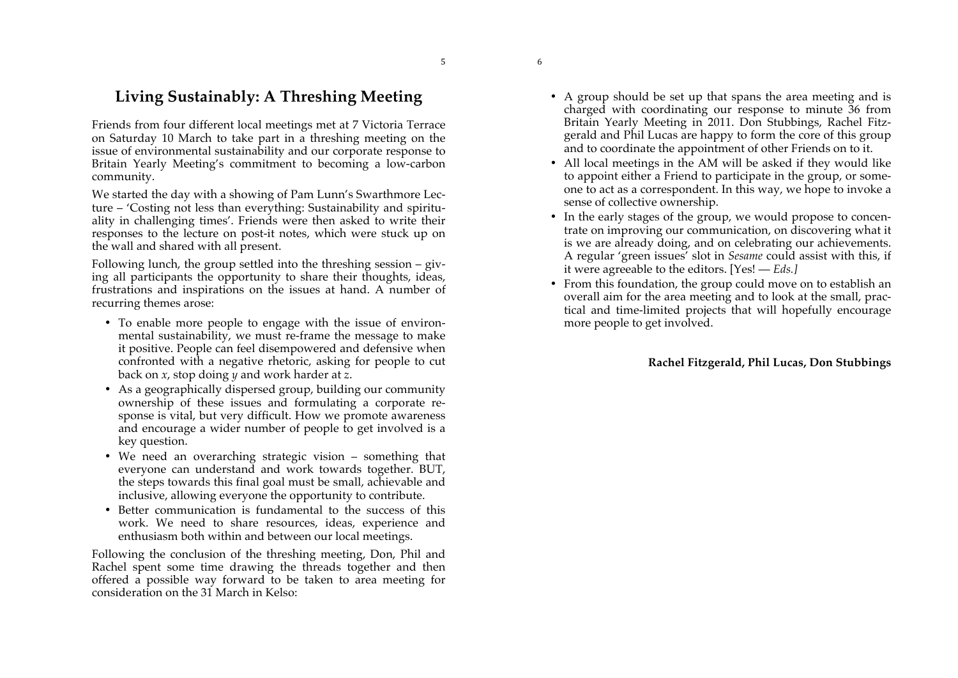&

'

# **Living Sustainably: A Threshing Meeting**

Friends from four different local meetings met at 7 Victoria Terrace on Saturday 10 March to take part in a threshing meeting on the issue of environmental sustainability and our corporate response to Britain Yearly Meeting's commitment to becoming a low-carbon community.

We started the day with a showing of Pam Lunn's Swarthmore Lecture – 'Costing not less than everything: Sustainability and spirituality in challenging times'. Friends were then asked to write their responses to the lecture on post-it notes, which were stuck up on the wall and shared with all present.

Following lunch, the group settled into the threshing session – giving all participants the opportunity to share their thoughts, ideas, frustrations and inspirations on the issues at hand. A number of recurring themes arose:

- To enable more people to engage with the issue of environmental sustainability, we must re-frame the message to make it positive. People can feel disempowered and defensive when confronted with a negative rhetoric, asking for people to cut back on *x*, stop doing *y* and work harder at *z*.
- As a geographically dispersed group, building our community ownership of these issues and formulating a corporate response is vital, but very difficult. How we promote awareness and encourage a wider number of people to get involved is a key question.
- We need an overarching strategic vision something that everyone can understand and work towards together. BUT, the steps towards this final goal must be small, achievable and inclusive, allowing everyone the opportunity to contribute.
- Better communication is fundamental to the success of this work. We need to share resources, ideas, experience and enthusiasm both within and between our local meetings.

Following the conclusion of the threshing meeting, Don, Phil and Rachel spent some time drawing the threads together and then offered a possible way forward to be taken to area meeting for consideration on the 31 March in Kelso:

- A group should be set up that spans the area meeting and is charged with coordinating our response to minute 36 from Britain Yearly Meeting in 2011. Don Stubbings, Rachel Fitzgerald and Phil Lucas are happy to form the core of this group and to coordinate the appointment of other Friends on to it.
- All local meetings in the AM will be asked if they would like to appoint either a Friend to participate in the group, or someone to act as a correspondent. In this way, we hope to invoke a sense of collective ownership.
- In the early stages of the group, we would propose to concentrate on improving our communication, on discovering what it is we are already doing, and on celebrating our achievements. A regular 'green issues' slot in *Sesame* could assist with this, if it were agreeable to the editors. [Yes! — *Eds.]*
- From this foundation, the group could move on to establish an overall aim for the area meeting and to look at the small, practical and time-limited projects that will hopefully encourage more people to get involved.

#### **Rachel Fitzgerald, Phil Lucas, Don Stubbings**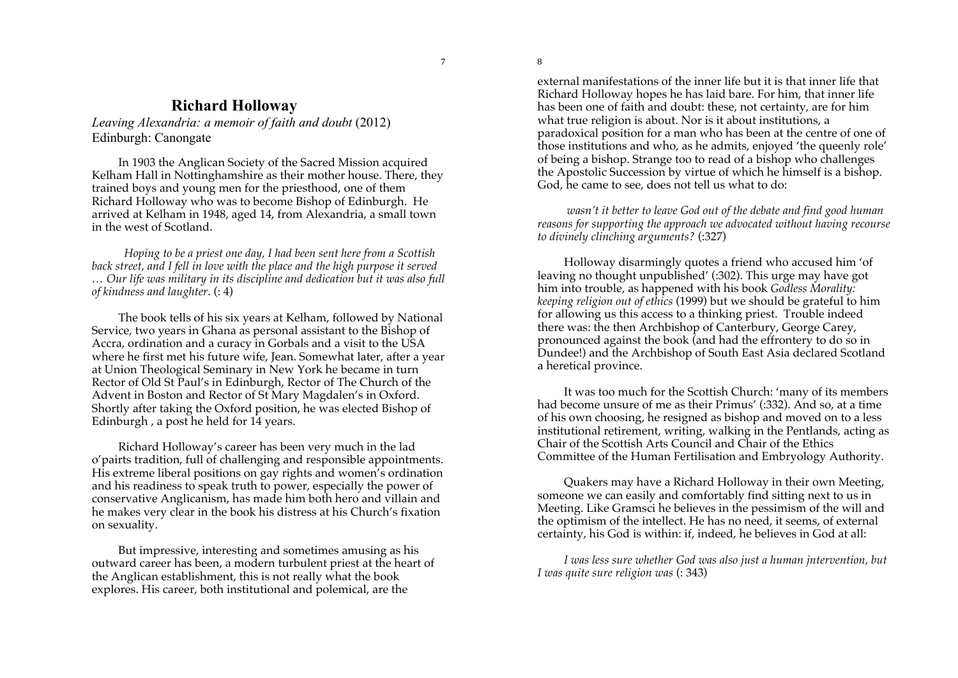)

(

# **Richard Holloway**

*Leaving Alexandria: a memoir of faith and doubt* (2012) Edinburgh: Canongate

In 1903 the Anglican Society of the Sacred Mission acquired Kelham Hall in Nottinghamshire as their mother house. There, they trained boys and young men for the priesthood, one of them Richard Holloway who was to become Bishop of Edinburgh. He arrived at Kelham in 1948, aged 14, from Alexandria, a small town in the west of Scotland.

*Hoping to be a priest one day, I had been sent here from a Scottish*  back street, and I fell in love with the place and the high purpose it served *… Our life was military in its discipline and dedication but it was also full of kindness and laughter*. (: 4)

The book tells of his six years at Kelham, followed by National Service, two years in Ghana as personal assistant to the Bishop of Accra, ordination and a curacy in Gorbals and a visit to the USA where he first met his future wife, Jean. Somewhat later, after a year at Union Theological Seminary in New York he became in turn Rector of Old St Paul's in Edinburgh, Rector of The Church of the Advent in Boston and Rector of St Mary Magdalen's in Oxford. Shortly after taking the Oxford position, he was elected Bishop of Edinburgh, a post he held for 14 years.

Richard Holloway's career has been very much in the lad o'pairts tradition, full of challenging and responsible appointments. His extreme liberal positions on gay rights and women's ordination and his readiness to speak truth to power, especially the power of conservative Anglicanism, has made him both hero and villain and he makes very clear in the book his distress at his Church's fixation on sexuality.

But impressive, interesting and sometimes amusing as his outward career has been, a modern turbulent priest at the heart of the Anglican establishment, this is not really what the book explores. His career, both institutional and polemical, are the

external manifestations of the inner life but it is that inner life that Richard Holloway hopes he has laid bare. For him, that inner life has been one of faith and doubt: these, not certainty, are for him what true religion is about. Nor is it about institutions, a paradoxical position for a man who has been at the centre of one of those institutions and who, as he admits, enjoyed 'the queenly role' of being a bishop. Strange too to read of a bishop who challenges the Apostolic Succession by virtue of which he himself is a bishop. God, he came to see, does not tell us what to do:

*wasn't it better to leave God out of the debate and find good human reasons for supporting the approach we advocated without having recourse to divinely clinching arguments?* (:327)

Holloway disarmingly quotes a friend who accused him 'of leaving no thought unpublished' (:302). This urge may have got him into trouble, as happened with his book *Godless Morality: keeping religion out of ethics* (1999) but we should be grateful to him for allowing us this access to a thinking priest. Trouble indeed there was: the then Archbishop of Canterbury, George Carey, pronounced against the book (and had the effrontery to do so in Dundee!) and the Archbishop of South East Asia declared Scotland a heretical province.

It was too much for the Scottish Church: 'many of its members had become unsure of me as their Primus' (:332). And so, at a time of his own choosing, he resigned as bishop and moved on to a less institutional retirement, writing, walking in the Pentlands, acting as Chair of the Scottish Arts Council and Chair of the Ethics Committee of the Human Fertilisation and Embryology Authority.

Quakers may have a Richard Holloway in their own Meeting, someone we can easily and comfortably find sitting next to us in Meeting. Like Gramsci he believes in the pessimism of the will and the optimism of the intellect. He has no need, it seems, of external certainty, his God is within: if, indeed, he believes in God at all:

*I was less sure whether God was also just a human jntervention, but I was quite sure religion was* (: 343)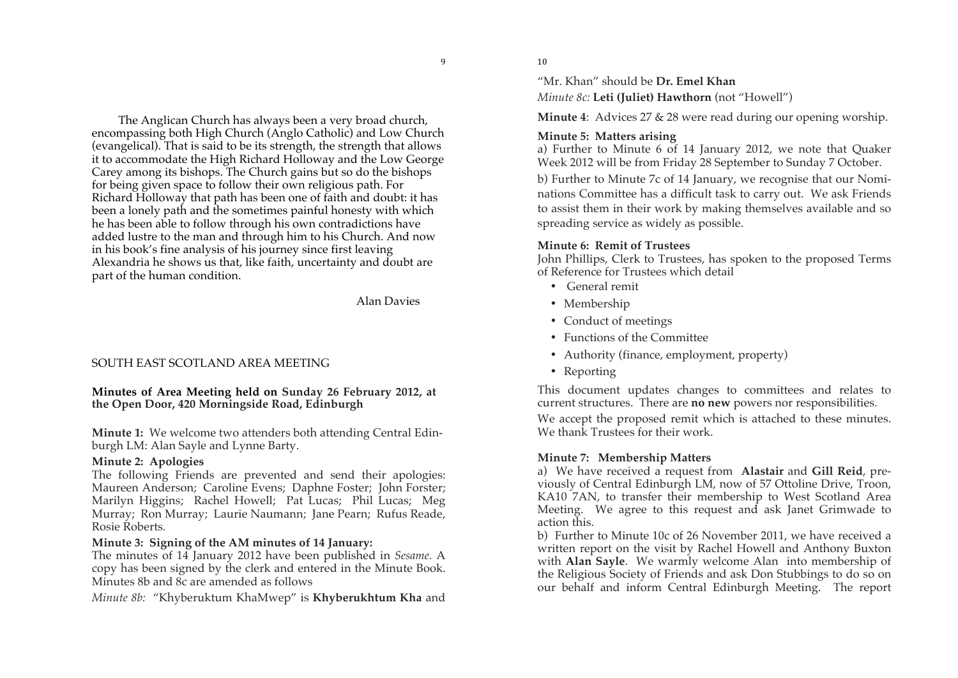The Anglican Church has always been a very broad church, encompassing both High Church (Anglo Catholic) and Low Church (evangelical). That is said to be its strength, the strength that allows it to accommodate the High Richard Holloway and the Low George Carey among its bishops. The Church gains but so do the bishops for being given space to follow their own religious path. For Richard Holloway that path has been one of faith and doubt: it has been a lonely path and the sometimes painful honesty with which he has been able to follow through his own contradictions have added lustre to the man and through him to his Church. And now in his book's fine analysis of his journey since first leaving Alexandria he shows us that, like faith, uncertainty and doubt are part of the human condition.

Alan Davies

\*

# SOUTH EAST SCOTLAND AREA MEETING

#### **Minutes of Area Meeting held on Sunday 26 February 2012, at the Open Door, 420 Morningside Road, Edinburgh**

**Minute 1:** We welcome two attenders both attending Central Edinburgh LM: Alan Sayle and Lynne Barty.

#### **Minute 2: Apologies**

The following Friends are prevented and send their apologies: Maureen Anderson; Caroline Evens; Daphne Foster; John Forster; Marilyn Higgins; Rachel Howell; Pat Lucas; Phil Lucas; Meg Murray; Ron Murray; Laurie Naumann; Jane Pearn; Rufus Reade, Rosie Roberts.

#### **Minute 3: Signing of the AM minutes of 14 January:**

The minutes of 14 January 2012 have been published in *Sesame.* A copy has been signed by the clerk and entered in the Minute Book. Minutes 8b and 8c are amended as follows

*Minute 8b:* "Khyberuktum KhaMwep" is **Khyberukhtum Kha** and

 $10$ 

"Mr. Khan" should be **Dr. Emel Khan**

*Minute 8c:* **Leti (Juliet) Hawthorn** (not "Howell")

**Minute 4**: Advices 27 & 28 were read during our opening worship.

#### **Minute 5: Matters arising**

a) Further to Minute 6 of 14 January 2012, we note that Quaker Week 2012 will be from Friday 28 September to Sunday 7 October.

b) Further to Minute 7c of 14 January, we recognise that our Nominations Committee has a difficult task to carry out. We ask Friends to assist them in their work by making themselves available and so spreading service as widely as possible.

#### **Minute 6: Remit of Trustees**

John Phillips, Clerk to Trustees, has spoken to the proposed Terms of Reference for Trustees which detail

- General remit
- Membership
- Conduct of meetings
- Functions of the Committee
- Authority (finance, employment, property)
- Reporting

This document updates changes to committees and relates to current structures. There are **no new** powers nor responsibilities.

We accept the proposed remit which is attached to these minutes. We thank Trustees for their work.

# **Minute 7: Membership Matters**

a) We have received a request from **Alastair** and **Gill Reid**, previously of Central Edinburgh LM, now of 57 Ottoline Drive, Troon, KA10 7AN, to transfer their membership to West Scotland Area Meeting. We agree to this request and ask Janet Grimwade to action this.

b) Further to Minute 10c of 26 November 2011, we have received a written report on the visit by Rachel Howell and Anthony Buxton with **Alan Sayle**. We warmly welcome Alan into membership of the Religious Society of Friends and ask Don Stubbings to do so on our behalf and inform Central Edinburgh Meeting. The report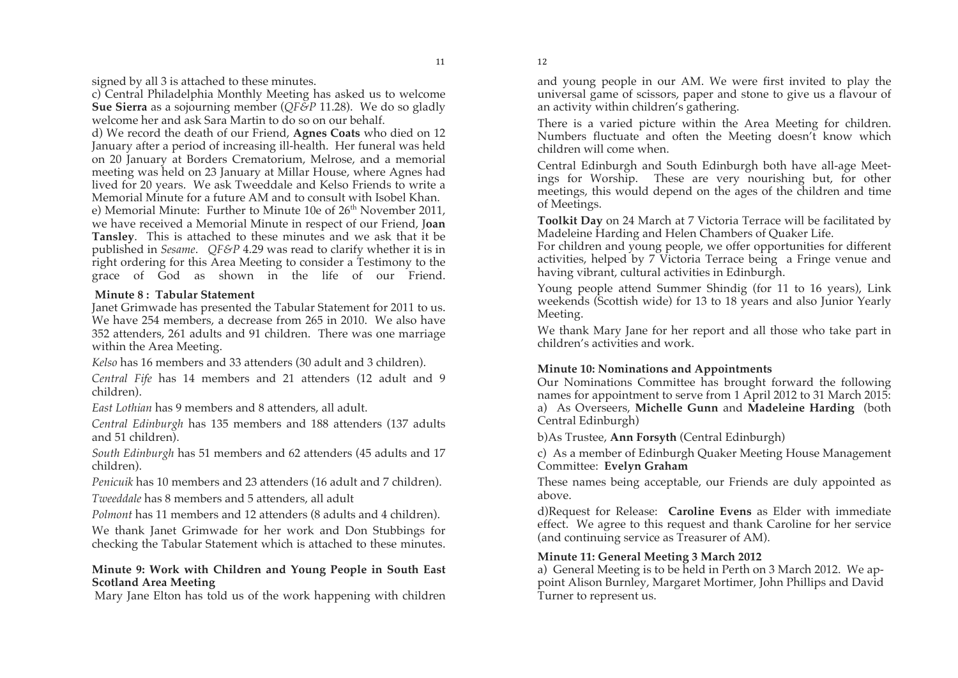$12$ 

signed by all 3 is attached to these minutes.

c) Central Philadelphia Monthly Meeting has asked us to welcome **Sue Sierra** as a sojourning member (*QF&P* 11.28). We do so gladly welcome her and ask Sara Martin to do so on our behalf.

d) We record the death of our Friend, **Agnes Coats** who died on 12 January after a period of increasing ill-health. Her funeral was held on 20 January at Borders Crematorium, Melrose, and a memorial meeting was held on 23 January at Millar House, where Agnes had lived for 20 years. We ask Tweeddale and Kelso Friends to write a Memorial Minute for a future AM and to consult with Isobel Khan.

e) Memorial Minute: Further to Minute 10e of 26<sup>th</sup> November 2011, we have received a Memorial Minute in respect of our Friend, J**oan Tansley**. This is attached to these minutes and we ask that it be published in *Sesame*. *QF&P* 4.29 was read to clarify whether it is in right ordering for this Area Meeting to consider a Testimony to the grace of God as shown in the life of our Friend.

#### **Minute 8 : Tabular Statement**

Janet Grimwade has presented the Tabular Statement for 2011 to us. We have 254 members, a decrease from 265 in 2010. We also have 352 attenders, 261 adults and 91 children. There was one marriage within the Area Meeting.

*Kelso* has 16 members and 33 attenders (30 adult and 3 children).

*Central Fife* has 14 members and 21 attenders (12 adult and 9 children).

*East Lothian* has 9 members and 8 attenders, all adult.

*Central Edinburgh* has 135 members and 188 attenders (137 adults and 51 children).

*South Edinburgh* has 51 members and 62 attenders (45 adults and 17 children).

*Penicuik* has 10 members and 23 attenders (16 adult and 7 children).

*Tweeddale* has 8 members and 5 attenders, all adult

*Polmont* has 11 members and 12 attenders (8 adults and 4 children).

We thank Janet Grimwade for her work and Don Stubbings for checking the Tabular Statement which is attached to these minutes.

#### **Minute 9: Work with Children and Young People in South East Scotland Area Meeting**

Mary Jane Elton has told us of the work happening with children

and young people in our AM. We were first invited to play the universal game of scissors, paper and stone to give us a flavour of an activity within children's gathering.

There is a varied picture within the Area Meeting for children. Numbers fluctuate and often the Meeting doesn't know which children will come when.

Central Edinburgh and South Edinburgh both have all-age Meetings for Worship. These are very nourishing but, for other meetings, this would depend on the ages of the children and time of Meetings.

**Toolkit Day** on 24 March at 7 Victoria Terrace will be facilitated by Madeleine Harding and Helen Chambers of Quaker Life.

For children and young people, we offer opportunities for different activities, helped by 7 Victoria Terrace being a Fringe venue and having vibrant, cultural activities in Edinburgh.

Young people attend Summer Shindig (for 11 to 16 years), Link weekends (Scottish wide) for 13 to 18 years and also Junior Yearly Meeting.

We thank Mary Jane for her report and all those who take part in children's activities and work.

# **Minute 10: Nominations and Appointments**

Our Nominations Committee has brought forward the following names for appointment to serve from 1 April 2012 to 31 March 2015: a) As Overseers, **Michelle Gunn** and **Madeleine Harding** (both Central Edinburgh)

b)As Trustee, **Ann Forsyth** (Central Edinburgh)

c) As a member of Edinburgh Quaker Meeting House Management Committee: **Evelyn Graham**

These names being acceptable, our Friends are duly appointed as above.

d)Request for Release: **Caroline Evens** as Elder with immediate effect. We agree to this request and thank Caroline for her service (and continuing service as Treasurer of AM).

# **Minute 11: General Meeting 3 March 2012**

a) General Meeting is to be held in Perth on 3 March 2012. We appoint Alison Burnley, Margaret Mortimer, John Phillips and David Turner to represent us.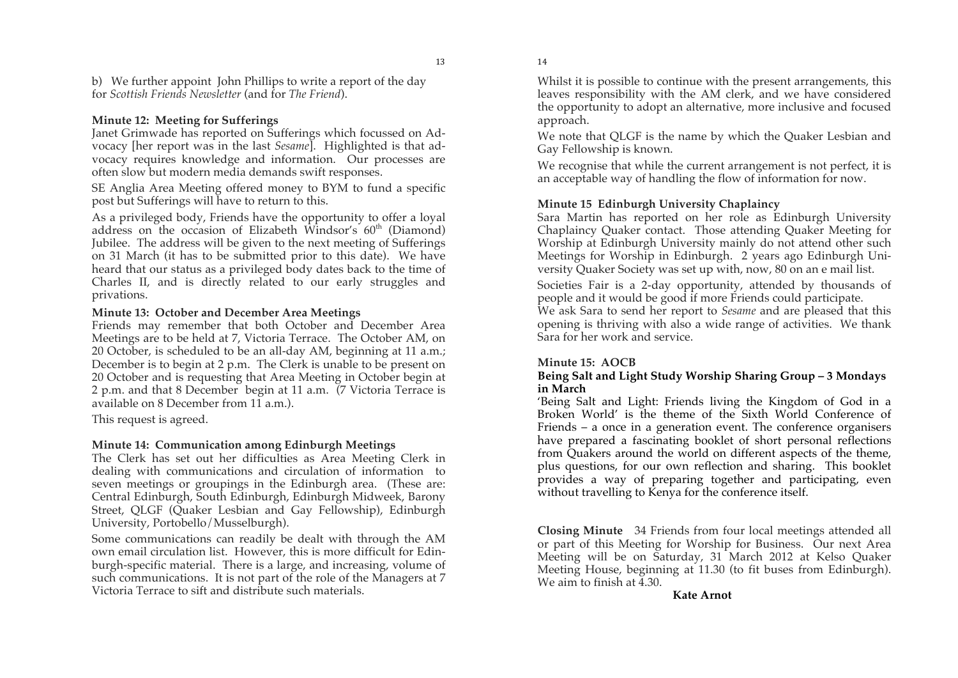$14$ 

b) We further appoint John Phillips to write a report of the day for *Scottish Friends Newsletter* (and for *The Friend*).

#### **Minute 12: Meeting for Sufferings**

Janet Grimwade has reported on Sufferings which focussed on Advocacy [her report was in the last *Sesame*]. Highlighted is that advocacy requires knowledge and information. Our processes are often slow but modern media demands swift responses.

SE Anglia Area Meeting offered money to BYM to fund a specific post but Sufferings will have to return to this.

As a privileged body, Friends have the opportunity to offer a loyal address on the occasion of Elizabeth Windsor's  $60<sup>th</sup>$  (Diamond) Jubilee. The address will be given to the next meeting of Sufferings on 31 March (it has to be submitted prior to this date). We have heard that our status as a privileged body dates back to the time of Charles II, and is directly related to our early struggles and privations.

#### **Minute 13: October and December Area Meetings**

Friends may remember that both October and December Area Meetings are to be held at 7, Victoria Terrace. The October AM, on 20 October, is scheduled to be an all-day AM, beginning at 11 a.m.; December is to begin at 2 p.m. The Clerk is unable to be present on 20 October and is requesting that Area Meeting in October begin at 2 p.m. and that 8 December begin at 11 a.m. (7 Victoria Terrace is available on 8 December from 11 a.m.).

This request is agreed.

#### **Minute 14: Communication among Edinburgh Meetings**

The Clerk has set out her difficulties as Area Meeting Clerk in dealing with communications and circulation of information to seven meetings or groupings in the Edinburgh area. (These are: Central Edinburgh, South Edinburgh, Edinburgh Midweek, Barony Street, QLGF (Quaker Lesbian and Gay Fellowship), Edinburgh University, Portobello/Musselburgh).

Some communications can readily be dealt with through the AM own email circulation list. However, this is more difficult for Edinburgh-specific material. There is a large, and increasing, volume of such communications. It is not part of the role of the Managers at 7 Victoria Terrace to sift and distribute such materials.

Whilst it is possible to continue with the present arrangements, this leaves responsibility with the AM clerk, and we have considered the opportunity to adopt an alternative, more inclusive and focused approach.

We note that QLGF is the name by which the Quaker Lesbian and Gay Fellowship is known.

We recognise that while the current arrangement is not perfect, it is an acceptable way of handling the flow of information for now.

#### **Minute 15 Edinburgh University Chaplaincy**

Sara Martin has reported on her role as Edinburgh University Chaplaincy Quaker contact. Those attending Quaker Meeting for Worship at Edinburgh University mainly do not attend other such Meetings for Worship in Edinburgh. 2 years ago Edinburgh University Quaker Society was set up with, now, 80 on an e mail list.

Societies Fair is a 2-day opportunity, attended by thousands of people and it would be good if more Friends could participate.

We ask Sara to send her report to *Sesame* and are pleased that this opening is thriving with also a wide range of activities. We thank Sara for her work and service.

#### **Minute 15: AOCB**

#### **Being Salt and Light Study Worship Sharing Group – 3 Mondays in March**

'Being Salt and Light: Friends living the Kingdom of God in a Broken World' is the theme of the Sixth World Conference of Friends – a once in a generation event. The conference organisers have prepared a fascinating booklet of short personal reflections from Quakers around the world on different aspects of the theme, plus questions, for our own reflection and sharing. This booklet provides a way of preparing together and participating, even without travelling to Kenya for the conference itself.

**Closing Minute** 34 Friends from four local meetings attended all or part of this Meeting for Worship for Business. Our next Area Meeting will be on Saturday, 31 March 2012 at Kelso Quaker Meeting House, beginning at 11.30 (to fit buses from Edinburgh). We aim to finish at  $4.30$ .

#### **Kate Arnot**